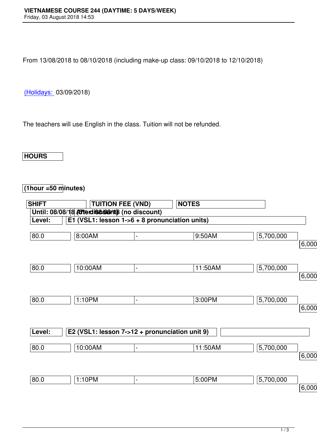From 13/08/2018 to 08/10/2018 (including make-up class: 09/10/2018 to 12/10/2018)

(Holidays: 03/09/2018)

[The teache](http://www.vns.edu.vn/)rs will use English in the class. Tuition will not be refunded.

## **HOURS**

## **(1hour =50 minutes)**

| <b>SHIFT</b> |                                                 | <b>TUITION FEE (VND)</b>     | <b>NOTES</b> |           |          |
|--------------|-------------------------------------------------|------------------------------|--------------|-----------|----------|
|              | Until: 08/08/18 Arterdissolarits (no discount)  |                              |              |           |          |
| Level:       | E1 (VSL1: lesson $1-6 + 8$ pronunciation units) |                              |              |           |          |
| 80.0         | 8:00AM                                          | $\qquad \qquad \blacksquare$ | 9:50AM       | 5,700,000 | 6,000,00 |
| 80.0         | 10:00AM                                         | $\blacksquare$               | 11:50AM      | 5,700,000 | 6,000,00 |
| 80.0         | 1:10PM                                          | $\blacksquare$               | 3:00PM       | 5,700,000 | 6,000,00 |
| Level:       | E2 (VSL1: lesson 7->12 + pronunciation unit 9)  |                              |              |           |          |
| 80.0         | 10:00AM                                         | $\overline{\phantom{a}}$     | 11:50AM      | 5,700,000 | 6,000,00 |
| 80.0         | 1:10PM                                          | -                            | 5:00PM       | 5,700,000 | 6,000,00 |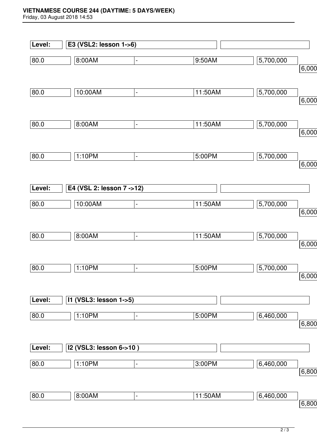## **VIETNAMESE COURSE 244 (DAYTIME: 5 DAYS/WEEK)**

Friday, 03 August 2018 14:53

|        | E3 (VSL2: lesson 1->6)    |                |         |           |       |
|--------|---------------------------|----------------|---------|-----------|-------|
| 80.0   | 8:00AM                    | $\blacksquare$ | 9:50AM  | 5,700,000 |       |
|        |                           |                |         |           | 6,000 |
| 80.0   | 10:00AM                   | $\blacksquare$ | 11:50AM | 5,700,000 | 6,000 |
|        |                           |                |         |           |       |
| 80.0   | 8:00AM                    | $\blacksquare$ | 11:50AM | 5,700,000 |       |
|        |                           |                |         |           | 6,000 |
| 80.0   | 1:10PM                    | $\blacksquare$ | 5:00PM  | 5,700,000 |       |
|        |                           |                |         |           | 6,000 |
| Level: | E4 (VSL 2: lesson 7 ->12) |                |         |           |       |
| 80.0   | 10:00AM                   | $\blacksquare$ | 11:50AM | 5,700,000 |       |
|        |                           |                |         |           | 6,000 |
| 80.0   | 8:00AM                    | $\blacksquare$ | 11:50AM | 5,700,000 |       |
|        |                           |                |         |           | 6,000 |
| 80.0   | 1:10PM                    | $\blacksquare$ | 5:00PM  | 5,700,000 |       |
|        |                           |                |         |           | 6,000 |
| Level: | 11 (VSL3: lesson 1->5)    |                |         |           |       |
| 80.0   | 1:10PM                    | $\blacksquare$ | 5:00PM  | 6,460,000 |       |
|        |                           |                |         |           | 6,800 |
| Level: | I2 (VSL3: lesson 6->10)   |                |         |           |       |
| 80.0   | 1:10PM                    | $\blacksquare$ | 3:00PM  | 6,460,000 |       |
|        |                           |                |         |           | 6,800 |
| 80.0   | 8:00AM                    | $\blacksquare$ | 11:50AM | 6,460,000 |       |
|        |                           |                |         |           | 6,800 |